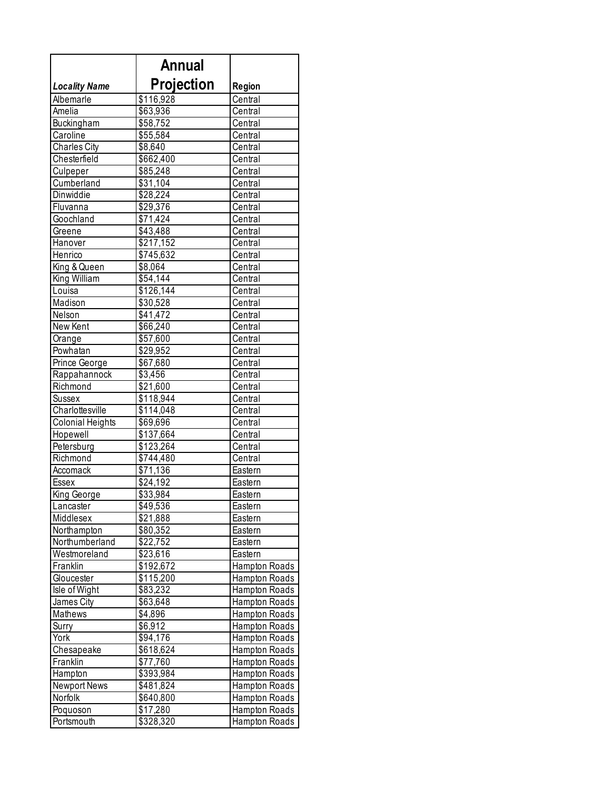|                         | Annual            |                      |
|-------------------------|-------------------|----------------------|
| <b>Locality Name</b>    | <b>Projection</b> | Region               |
| Albemarle               | \$116,928         | Central              |
| Amelia                  | \$63,936          | Central              |
| Buckingham              | \$58,752          | Central              |
| Caroline                | \$55,584          | Central              |
| <b>Charles City</b>     | \$8,640           | Central              |
| Chesterfield            | \$662,400         | Central              |
| Culpeper                | \$85,248          | Central              |
| Cumberland              | \$31,104          | Central              |
| Dinwiddie               | \$28,224          | Central              |
| Fluvanna                | \$29,376          | Central              |
| Goochland               | \$71,424          | Central              |
| Greene                  | \$43,488          | Central              |
| Hanover                 | \$217,152         | Central              |
| Henrico                 | \$745,632         | Central              |
| King & Queen            | \$8,064           | Central              |
| King William            | \$54,144          | Central              |
| Louisa                  | \$126,144         | Central              |
| Madison                 | \$30,528          | Central              |
| Nelson                  | \$41,472          | Central              |
| New Kent                | \$66,240          | Central              |
| Orange                  | \$57,600          | Central              |
| Powhatan                | \$29,952          | Central              |
| Prince George           | \$67,680          | Central              |
| Rappahannock            | \$3,456           | Central              |
| Richmond                | \$21,600          | Central              |
| Sussex                  | \$118,944         | Central              |
| Charlottesville         | \$114,048         | Central              |
| <b>Colonial Heights</b> | \$69,696          | Central              |
| Hopewell                | \$137,664         | Central              |
| Petersburg              | \$123,264         | Central              |
| Richmond                | \$744,480         | Central              |
| Accomack                | \$71,136          | Eastern              |
| Essex                   | \$24,192          | Eastern              |
| King George             | \$33,984          | Eastern              |
| Lancaster               | \$49,536          | Eastern              |
| Middlesex               | \$21,888          | Eastern              |
| Northampton             | \$80,352          | Eastern              |
| Northumberland          | \$22,752          | Eastern              |
| Westmoreland            | \$23,616          | Eastern              |
| Franklin                | \$192,672         | <b>Hampton Roads</b> |
| Gloucester              | \$115,200         | Hampton Roads        |
| Isle of Wight           | \$83,232          | Hampton Roads        |
| James City              | \$63,648          | Hampton Roads        |
| Mathews                 | \$4,896           | Hampton Roads        |
| Surry                   | \$6,912           | Hampton Roads        |
| York                    | \$94,176          | Hampton Roads        |
| Chesapeake              | \$618,624         | Hampton Roads        |
| Franklin                | \$77,760          | Hampton Roads        |
| Hampton                 | \$393,984         | Hampton Roads        |
| Newport News            | \$481,824         | Hampton Roads        |
| Norfolk                 | \$640,800         | Hampton Roads        |
| Poquoson                | \$17,280          | Hampton Roads        |
| Portsmouth              | \$328,320         | Hampton Roads        |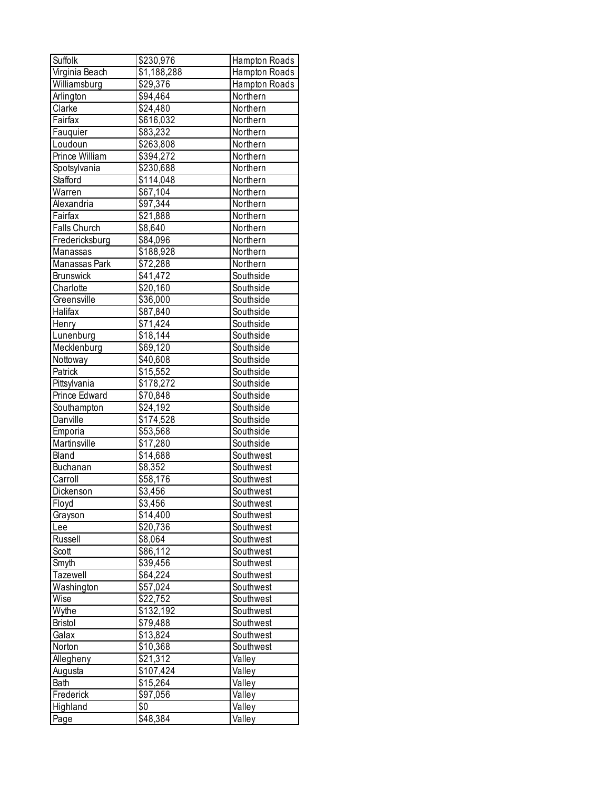| Suffolk          | \$230,976            | Hampton Roads |
|------------------|----------------------|---------------|
| Virginia Beach   | \$1,188,288          | Hampton Roads |
| Williamsburg     | \$29,376             | Hampton Roads |
| Arlington        | \$94,464             | Northern      |
| Clarke           | \$24,480             | Northern      |
| Fairfax          | \$616,032            | Northern      |
| Fauquier         | \$83,232             | Northern      |
| Loudoun          | \$263,808            | Northern      |
| Prince William   | \$394,272            | Northern      |
| Spotsylvania     | \$230,688            | Northern      |
| Stafford         | \$114,048            | Northern      |
| Warren           | $\overline{$}67,104$ | Northern      |
| Alexandria       | \$97,344             | Northern      |
| Fairfax          | $\overline{$}21,888$ | Northern      |
| Falls Church     | $\overline{$8,640}$  | Northern      |
| Fredericksburg   | \$84,096             | Northern      |
| Manassas         | \$188,928            | Northern      |
| Manassas Park    | \$72,288             | Northern      |
| <b>Brunswick</b> | \$41,472             | Southside     |
| Charlotte        | $\overline{$}20,160$ | Southside     |
| Greensville      | $\overline{$}36,000$ | Southside     |
| Halifax          | \$87,840             | Southside     |
| Henry            | \$71,424             | Southside     |
| Lunenburg        | $\overline{$}18,144$ | Southside     |
| Mecklenburg      | \$69,120             | Southside     |
| Nottoway         | \$40,608             | Southside     |
| Patrick          | \$15,552             | Southside     |
| Pittsylvania     | \$178,272            | Southside     |
| Prince Edward    | \$70,848             | Southside     |
| Southampton      | \$24,192             | Southside     |
| Danville         | \$174,528            | Southside     |
| Emporia          | \$53,568             | Southside     |
| Martinsville     | \$17,280             | Southside     |
| Bland            | $\overline{$}14,688$ | Southwest     |
| Buchanan         | $\overline{$8,352}$  | Southwest     |
| Carroll          | $\overline{$}58,176$ | Southwest     |
| Dickenson        | $\sqrt{$3,456}$      | Southwest     |
| Floyd            | \$3,456              | Southwest     |
| Grayson          | \$14,400             | Southwest     |
| Lee              | \$20,736             | Southwest     |
| Russell          | \$8,064              | Southwest     |
| Scott            | \$86,112             | Southwest     |
| Smyth            | \$39,456             | Southwest     |
| Tazewell         | \$64,224             | Southwest     |
| Washington       | \$57,024             | Southwest     |
| Wise             | \$22,752             | Southwest     |
| Wythe            | \$132,192            | Southwest     |
| <b>Bristol</b>   | \$79,488             | Southwest     |
| Galax            | \$13,824             | Southwest     |
| Norton           | \$10,368             | Southwest     |
| Allegheny        | \$21,312             | Valley        |
| Augusta          | \$107,424            | Valley        |
| Bath             | \$15,264             | Valley        |
| Frederick        | \$97,056             | Valley        |
| Highland         | \$0                  | Valley        |
| Page             | \$48,384             | Valley        |